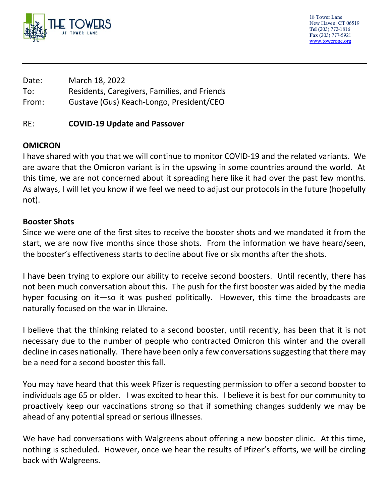

18 Tower Lane New Haven, CT 06519 Tel (203) 772-1816 Fax (203) 777-5921 [www.towerone.org](http://www.towerone.org/)

| Date: | March 18, 2022                               |
|-------|----------------------------------------------|
| To:   | Residents, Caregivers, Families, and Friends |
| From: | Gustave (Gus) Keach-Longo, President/CEO     |

### RE: **COVID-19 Update and Passover**

# **OMICRON**

I have shared with you that we will continue to monitor COVID-19 and the related variants. We are aware that the Omicron variant is in the upswing in some countries around the world. At this time, we are not concerned about it spreading here like it had over the past few months. As always, I will let you know if we feel we need to adjust our protocols in the future (hopefully not).

### **Booster Shots**

Since we were one of the first sites to receive the booster shots and we mandated it from the start, we are now five months since those shots. From the information we have heard/seen, the booster's effectiveness starts to decline about five or six months after the shots.

I have been trying to explore our ability to receive second boosters. Until recently, there has not been much conversation about this. The push for the first booster was aided by the media hyper focusing on it—so it was pushed politically. However, this time the broadcasts are naturally focused on the war in Ukraine.

I believe that the thinking related to a second booster, until recently, has been that it is not necessary due to the number of people who contracted Omicron this winter and the overall decline in cases nationally. There have been only a few conversations suggesting that there may be a need for a second booster this fall.

You may have heard that this week Pfizer is requesting permission to offer a second booster to individuals age 65 or older. I was excited to hear this. I believe it is best for our community to proactively keep our vaccinations strong so that if something changes suddenly we may be ahead of any potential spread or serious illnesses.

We have had conversations with Walgreens about offering a new booster clinic. At this time, nothing is scheduled. However, once we hear the results of Pfizer's efforts, we will be circling back with Walgreens.